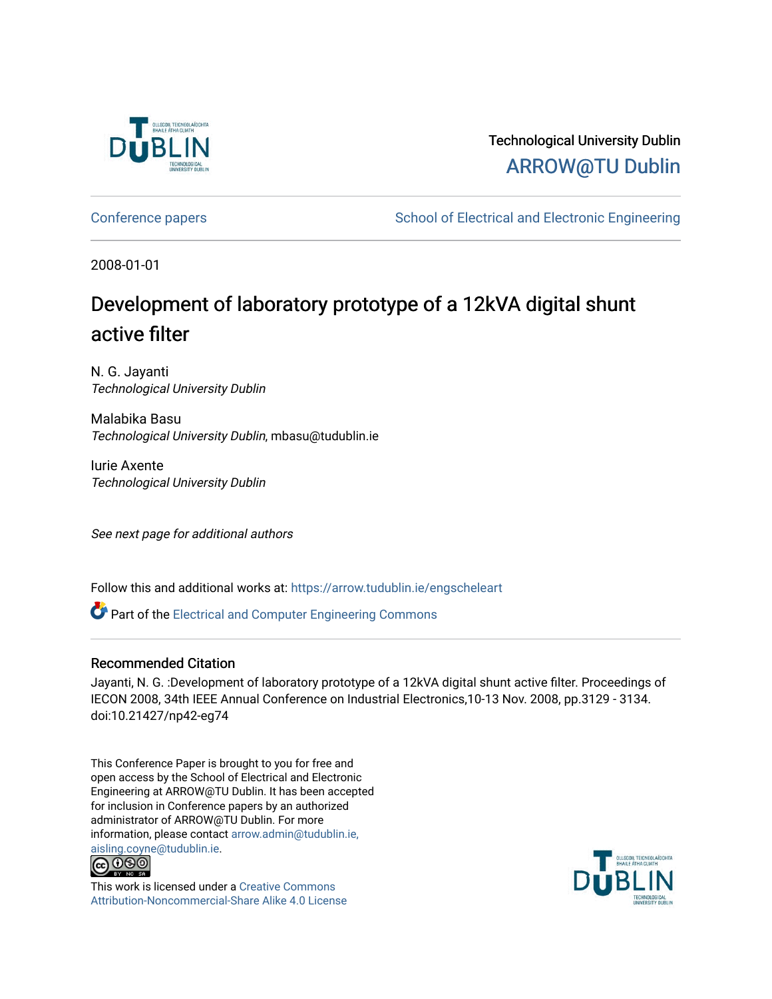

Technological University Dublin [ARROW@TU Dublin](https://arrow.tudublin.ie/) 

[Conference papers](https://arrow.tudublin.ie/engscheleart) **School of Electrical and Electronic Engineering** 

2008-01-01

## Development of laboratory prototype of a 12kVA digital shunt active filter

N. G. Jayanti Technological University Dublin

Malabika Basu Technological University Dublin, mbasu@tudublin.ie

Iurie Axente Technological University Dublin

See next page for additional authors

Follow this and additional works at: [https://arrow.tudublin.ie/engscheleart](https://arrow.tudublin.ie/engscheleart?utm_source=arrow.tudublin.ie%2Fengscheleart%2F109&utm_medium=PDF&utm_campaign=PDFCoverPages) 

Part of the [Electrical and Computer Engineering Commons](http://network.bepress.com/hgg/discipline/266?utm_source=arrow.tudublin.ie%2Fengscheleart%2F109&utm_medium=PDF&utm_campaign=PDFCoverPages) 

### Recommended Citation

Jayanti, N. G. :Development of laboratory prototype of a 12kVA digital shunt active filter. Proceedings of IECON 2008, 34th IEEE Annual Conference on Industrial Electronics,10-13 Nov. 2008, pp.3129 - 3134. doi:10.21427/np42-eg74

This Conference Paper is brought to you for free and open access by the School of Electrical and Electronic Engineering at ARROW@TU Dublin. It has been accepted for inclusion in Conference papers by an authorized administrator of ARROW@TU Dublin. For more information, please contact [arrow.admin@tudublin.ie,](mailto:arrow.admin@tudublin.ie,%20aisling.coyne@tudublin.ie)  [aisling.coyne@tudublin.ie.](mailto:arrow.admin@tudublin.ie,%20aisling.coyne@tudublin.ie)<br>© 090



This work is licensed under a [Creative Commons](http://creativecommons.org/licenses/by-nc-sa/4.0/) [Attribution-Noncommercial-Share Alike 4.0 License](http://creativecommons.org/licenses/by-nc-sa/4.0/)

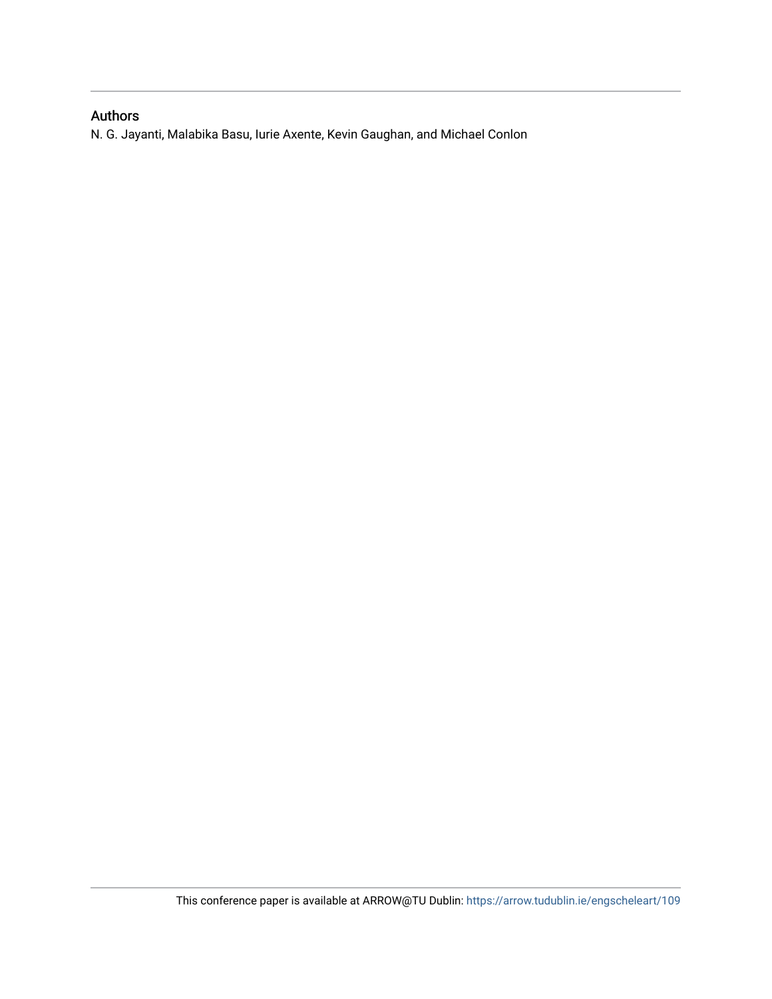## Authors

N. G. Jayanti, Malabika Basu, Iurie Axente, Kevin Gaughan, and Michael Conlon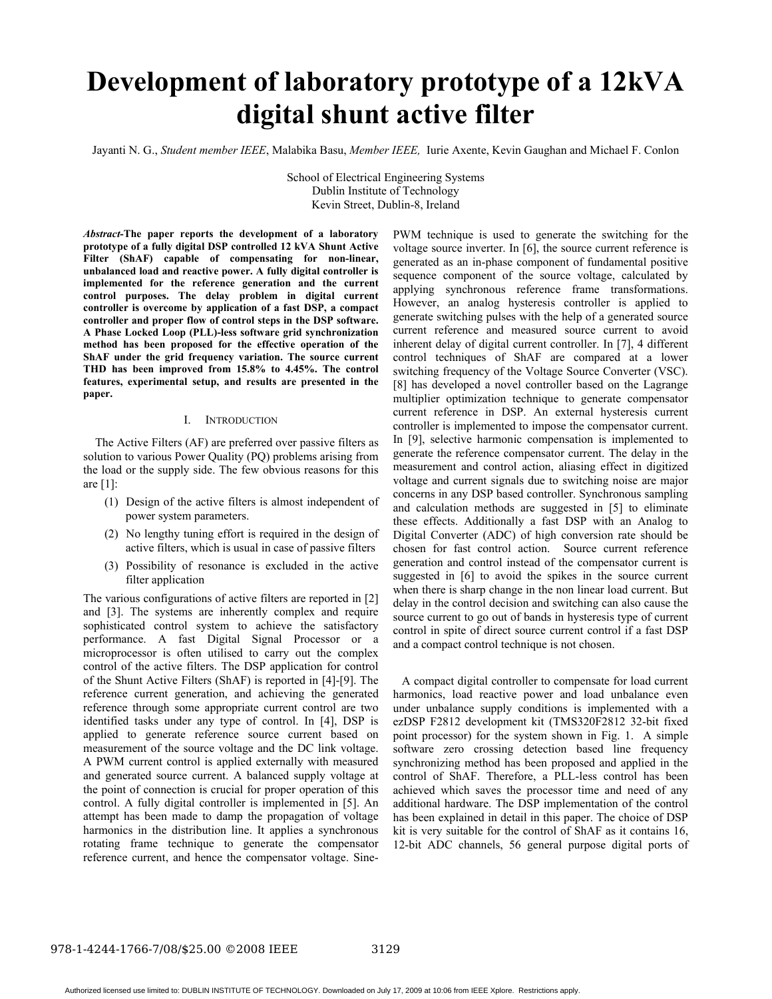# **Development of laboratory prototype of a 12kVA digital shunt active filter**

Jayanti N. G., *Student member IEEE*, Malabika Basu, *Member IEEE,* Iurie Axente, Kevin Gaughan and Michael F. Conlon

 School of Electrical Engineering Systems Dublin Institute of Technology Kevin Street, Dublin-8, Ireland

*Abstract-***The paper reports the development of a laboratory prototype of a fully digital DSP controlled 12 kVA Shunt Active Filter (ShAF) capable of compensating for non-linear, unbalanced load and reactive power. A fully digital controller is implemented for the reference generation and the current control purposes. The delay problem in digital current controller is overcome by application of a fast DSP, a compact controller and proper flow of control steps in the DSP software. A Phase Locked Loop (PLL)-less software grid synchronization method has been proposed for the effective operation of the ShAF under the grid frequency variation. The source current THD has been improved from 15.8% to 4.45%. The control features, experimental setup, and results are presented in the paper.** 

#### I. INTRODUCTION

 The Active Filters (AF) are preferred over passive filters as solution to various Power Quality (PQ) problems arising from the load or the supply side. The few obvious reasons for this are [1]:

- (1) Design of the active filters is almost independent of power system parameters.
- (2) No lengthy tuning effort is required in the design of active filters, which is usual in case of passive filters
- (3) Possibility of resonance is excluded in the active filter application

The various configurations of active filters are reported in [2] and [3]. The systems are inherently complex and require sophisticated control system to achieve the satisfactory performance. A fast Digital Signal Processor or a microprocessor is often utilised to carry out the complex control of the active filters. The DSP application for control of the Shunt Active Filters (ShAF) is reported in [4]-[9]. The reference current generation, and achieving the generated reference through some appropriate current control are two identified tasks under any type of control. In [4], DSP is applied to generate reference source current based on measurement of the source voltage and the DC link voltage. A PWM current control is applied externally with measured and generated source current. A balanced supply voltage at the point of connection is crucial for proper operation of this control. A fully digital controller is implemented in [5]. An attempt has been made to damp the propagation of voltage harmonics in the distribution line. It applies a synchronous rotating frame technique to generate the compensator reference current, and hence the compensator voltage. SinePWM technique is used to generate the switching for the voltage source inverter. In [6], the source current reference is generated as an in-phase component of fundamental positive sequence component of the source voltage, calculated by applying synchronous reference frame transformations. However, an analog hysteresis controller is applied to generate switching pulses with the help of a generated source current reference and measured source current to avoid inherent delay of digital current controller. In [7], 4 different control techniques of ShAF are compared at a lower switching frequency of the Voltage Source Converter (VSC). [8] has developed a novel controller based on the Lagrange multiplier optimization technique to generate compensator current reference in DSP. An external hysteresis current controller is implemented to impose the compensator current. In [9], selective harmonic compensation is implemented to generate the reference compensator current. The delay in the measurement and control action, aliasing effect in digitized voltage and current signals due to switching noise are major concerns in any DSP based controller. Synchronous sampling and calculation methods are suggested in [5] to eliminate these effects. Additionally a fast DSP with an Analog to Digital Converter (ADC) of high conversion rate should be chosen for fast control action. Source current reference generation and control instead of the compensator current is suggested in [6] to avoid the spikes in the source current when there is sharp change in the non linear load current. But delay in the control decision and switching can also cause the source current to go out of bands in hysteresis type of current control in spite of direct source current control if a fast DSP and a compact control technique is not chosen.

 A compact digital controller to compensate for load current harmonics, load reactive power and load unbalance even under unbalance supply conditions is implemented with a ezDSP F2812 development kit (TMS320F2812 32-bit fixed point processor) for the system shown in Fig. 1. A simple software zero crossing detection based line frequency synchronizing method has been proposed and applied in the control of ShAF. Therefore, a PLL-less control has been achieved which saves the processor time and need of any additional hardware. The DSP implementation of the control has been explained in detail in this paper. The choice of DSP kit is very suitable for the control of ShAF as it contains 16, 12-bit ADC channels, 56 general purpose digital ports of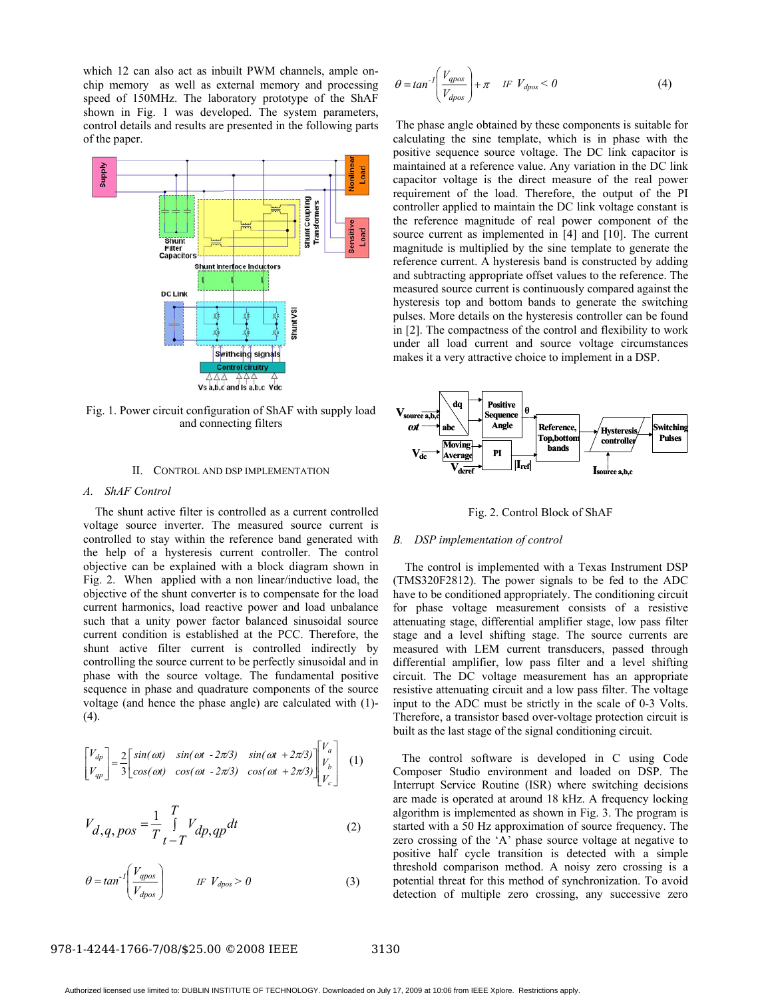which 12 can also act as inbuilt PWM channels, ample onchip memory as well as external memory and processing speed of 150MHz. The laboratory prototype of the ShAF shown in Fig. 1 was developed. The system parameters, control details and results are presented in the following parts of the paper.



Fig. 1. Power circuit configuration of ShAF with supply load and connecting filters

#### II. CONTROL AND DSP IMPLEMENTATION

#### *A. ShAF Control*

 The shunt active filter is controlled as a current controlled voltage source inverter. The measured source current is controlled to stay within the reference band generated with the help of a hysteresis current controller. The control objective can be explained with a block diagram shown in Fig. 2. When applied with a non linear/inductive load, the objective of the shunt converter is to compensate for the load current harmonics, load reactive power and load unbalance such that a unity power factor balanced sinusoidal source current condition is established at the PCC. Therefore, the shunt active filter current is controlled indirectly by controlling the source current to be perfectly sinusoidal and in phase with the source voltage. The fundamental positive sequence in phase and quadrature components of the source voltage (and hence the phase angle) are calculated with (1)-  $(4)$ .

$$
\begin{bmatrix} V_{dp} \\ V_{qp} \end{bmatrix} = \frac{2}{3} \begin{bmatrix} sin(\omega t) & sin(\omega t - 2\pi/3) & sin(\omega t + 2\pi/3) \\ cos(\omega t) & cos(\omega t - 2\pi/3) & cos(\omega t + 2\pi/3) \end{bmatrix} \begin{bmatrix} V_a \\ V_b \\ V_c \end{bmatrix}
$$
 (1)

$$
V_{d,q,\,pos} = \frac{1}{T} \int\limits_{t-T}^{T} V_{dp,\,qp} dt
$$
 (2)

$$
\theta = \tan^{-1} \left( \frac{V_{\text{qpos}}}{V_{\text{dpos}}} \right) \qquad \qquad \text{IF } V_{\text{dpos}} > 0 \tag{3}
$$

$$
\theta = \tan^{-1} \left( \frac{V_{qpos}}{V_{dpos}} \right) + \pi \quad \text{IF } V_{dpos} < 0 \tag{4}
$$

 The phase angle obtained by these components is suitable for calculating the sine template, which is in phase with the positive sequence source voltage. The DC link capacitor is maintained at a reference value. Any variation in the DC link capacitor voltage is the direct measure of the real power requirement of the load. Therefore, the output of the PI controller applied to maintain the DC link voltage constant is the reference magnitude of real power component of the source current as implemented in [4] and [10]. The current magnitude is multiplied by the sine template to generate the reference current. A hysteresis band is constructed by adding and subtracting appropriate offset values to the reference. The measured source current is continuously compared against the hysteresis top and bottom bands to generate the switching pulses. More details on the hysteresis controller can be found in [2]. The compactness of the control and flexibility to work under all load current and source voltage circumstances makes it a very attractive choice to implement in a DSP.



Fig. 2. Control Block of ShAF

#### *B. DSP implementation of control*

 The control is implemented with a Texas Instrument DSP (TMS320F2812). The power signals to be fed to the ADC have to be conditioned appropriately. The conditioning circuit for phase voltage measurement consists of a resistive attenuating stage, differential amplifier stage, low pass filter stage and a level shifting stage. The source currents are measured with LEM current transducers, passed through differential amplifier, low pass filter and a level shifting circuit. The DC voltage measurement has an appropriate resistive attenuating circuit and a low pass filter. The voltage input to the ADC must be strictly in the scale of 0-3 Volts. Therefore, a transistor based over-voltage protection circuit is built as the last stage of the signal conditioning circuit.

 The control software is developed in C using Code Composer Studio environment and loaded on DSP. The Interrupt Service Routine (ISR) where switching decisions are made is operated at around 18 kHz. A frequency locking algorithm is implemented as shown in Fig. 3. The program is started with a 50 Hz approximation of source frequency. The zero crossing of the 'A' phase source voltage at negative to positive half cycle transition is detected with a simple threshold comparison method. A noisy zero crossing is a potential threat for this method of synchronization. To avoid detection of multiple zero crossing, any successive zero

#### 978-1-4244-1766-7/08/\$25.00 © 2008 IEEE 3130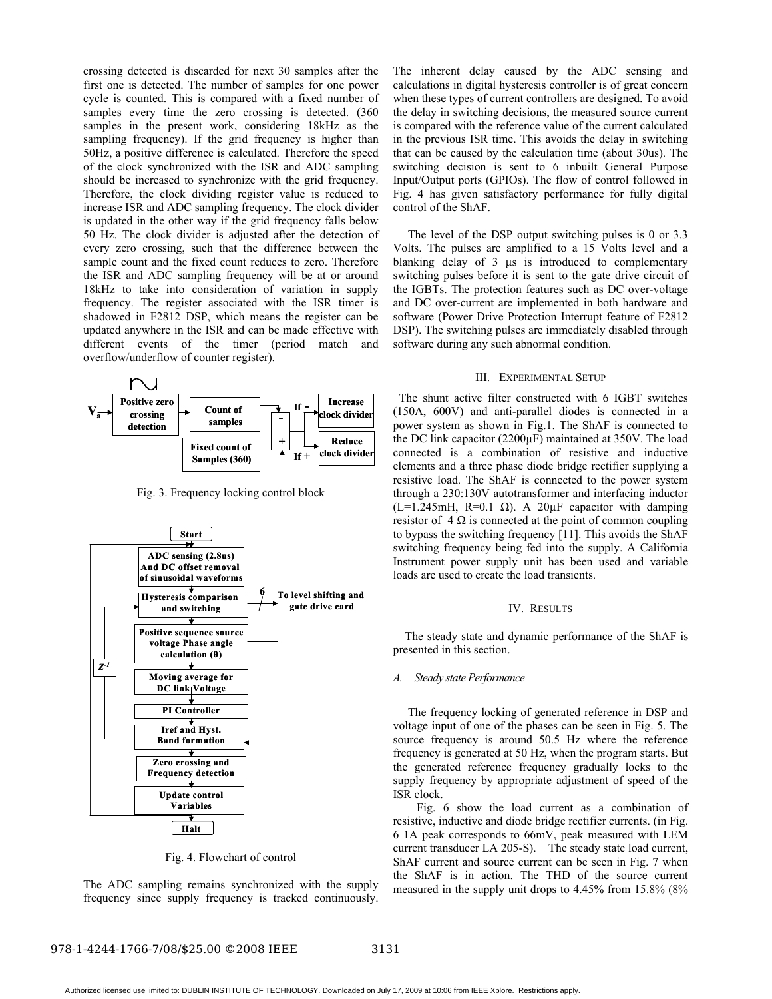crossing detected is discarded for next 30 samples after the first one is detected. The number of samples for one power cycle is counted. This is compared with a fixed number of samples every time the zero crossing is detected. (360) samples in the present work, considering 18kHz as the sampling frequency). If the grid frequency is higher than 50Hz, a positive difference is calculated. Therefore the speed of the clock synchronized with the ISR and ADC sampling should be increased to synchronize with the grid frequency. Therefore, the clock dividing register value is reduced to increase ISR and ADC sampling frequency. The clock divider is updated in the other way if the grid frequency falls below 50 Hz. The clock divider is adjusted after the detection of every zero crossing, such that the difference between the sample count and the fixed count reduces to zero. Therefore the ISR and ADC sampling frequency will be at or around 18kHz to take into consideration of variation in supply frequency. The register associated with the ISR timer is shadowed in F2812 DSP, which means the register can be updated anywhere in the ISR and can be made effective with different events of the timer (period match and overflow/underflow of counter register).



Fig. 3. Frequency locking control block



Fig. 4. Flowchart of control

The ADC sampling remains synchronized with the supply frequency since supply frequency is tracked continuously. The inherent delay caused by the ADC sensing and calculations in digital hysteresis controller is of great concern when these types of current controllers are designed. To avoid the delay in switching decisions, the measured source current is compared with the reference value of the current calculated in the previous ISR time. This avoids the delay in switching that can be caused by the calculation time (about 30us). The switching decision is sent to 6 inbuilt General Purpose Input/Output ports (GPIOs). The flow of control followed in Fig. 4 has given satisfactory performance for fully digital control of the ShAF.

 The level of the DSP output switching pulses is 0 or 3.3 Volts. The pulses are amplified to a 15 Volts level and a blanking delay of 3  $\mu$ s is introduced to complementary switching pulses before it is sent to the gate drive circuit of the IGBTs. The protection features such as DC over-voltage and DC over-current are implemented in both hardware and software (Power Drive Protection Interrupt feature of F2812 DSP). The switching pulses are immediately disabled through software during any such abnormal condition.

#### III. EXPERIMENTAL SETUP

 The shunt active filter constructed with 6 IGBT switches (150A, 600V) and anti-parallel diodes is connected in a power system as shown in Fig.1. The ShAF is connected to the DC link capacitor (2200µF) maintained at 350V. The load connected is a combination of resistive and inductive elements and a three phase diode bridge rectifier supplying a resistive load. The ShAF is connected to the power system through a 230:130V autotransformer and interfacing inductor (L=1.245mH, R=0.1  $\Omega$ ). A 20 $\mu$ F capacitor with damping resistor of  $4 \Omega$  is connected at the point of common coupling to bypass the switching frequency [11]. This avoids the ShAF switching frequency being fed into the supply. A California Instrument power supply unit has been used and variable loads are used to create the load transients.

#### IV. RESULTS

 The steady state and dynamic performance of the ShAF is presented in this section.

#### *A. Steady state Performance*

 The frequency locking of generated reference in DSP and voltage input of one of the phases can be seen in Fig. 5. The source frequency is around 50.5 Hz where the reference frequency is generated at 50 Hz, when the program starts. But the generated reference frequency gradually locks to the supply frequency by appropriate adjustment of speed of the ISR clock.

 Fig. 6 show the load current as a combination of resistive, inductive and diode bridge rectifier currents. (in Fig. 6 1A peak corresponds to 66mV, peak measured with LEM current transducer LA 205-S). The steady state load current, ShAF current and source current can be seen in Fig. 7 when the ShAF is in action. The THD of the source current measured in the supply unit drops to 4.45% from 15.8% (8%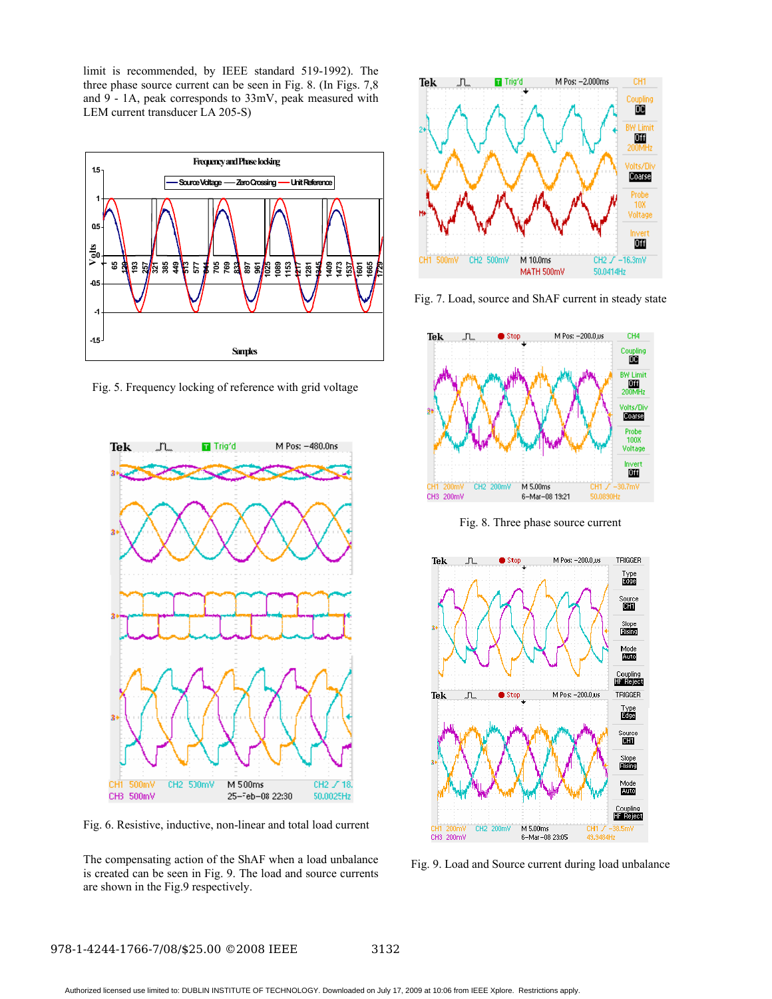limit is recommended, by IEEE standard 519-1992). The three phase source current can be seen in Fig. 8. (In Figs. 7,8 and 9 - 1A, peak corresponds to 33mV, peak measured with LEM current transducer LA 205-S)



Fig. 5. Frequency locking of reference with grid voltage



Fig. 6. Resistive, inductive, non-linear and total load current

The compensating action of the ShAF when a load unbalance is created can be seen in Fig. 9. The load and source currents are shown in the Fig.9 respectively.



Fig. 7. Load, source and ShAF current in steady state



Fig. 8. Three phase source current



Fig. 9. Load and Source current during load unbalance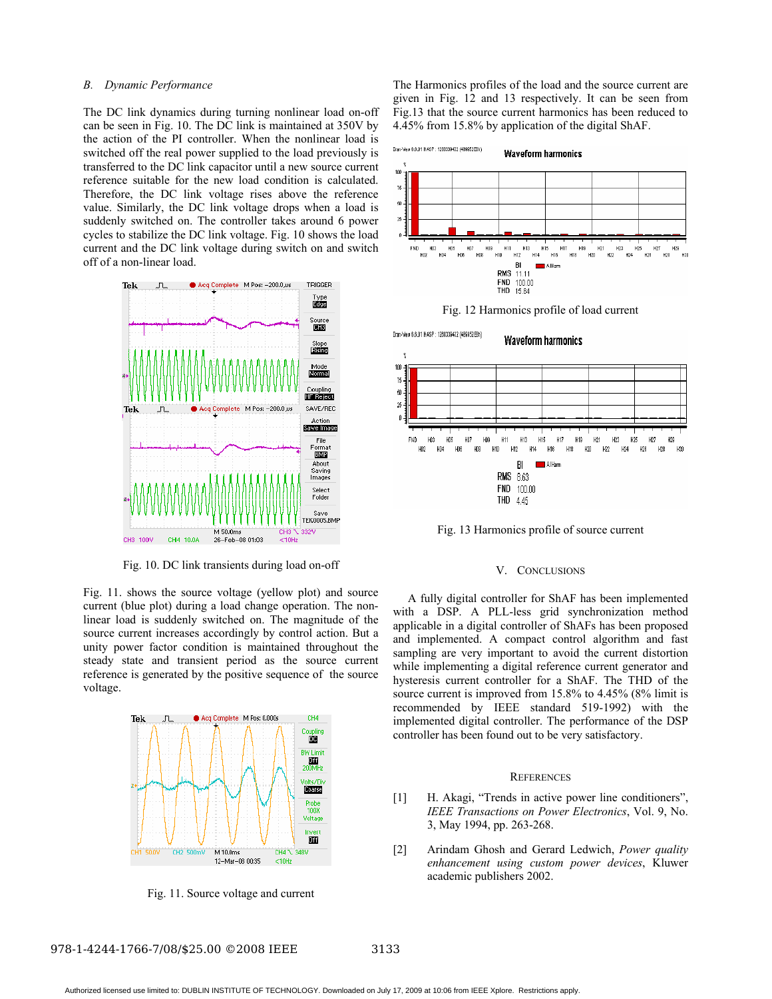#### *B. Dynamic Performance*

The DC link dynamics during turning nonlinear load on-off can be seen in Fig. 10. The DC link is maintained at 350V by the action of the PI controller. When the nonlinear load is switched off the real power supplied to the load previously is transferred to the DC link capacitor until a new source current reference suitable for the new load condition is calculated. Therefore, the DC link voltage rises above the reference value. Similarly, the DC link voltage drops when a load is suddenly switched on. The controller takes around 6 power cycles to stabilize the DC link voltage. Fig. 10 shows the load current and the DC link voltage during switch on and switch off of a non-linear load.



Fig. 10. DC link transients during load on-off

Fig. 11. shows the source voltage (yellow plot) and source current (blue plot) during a load change operation. The nonlinear load is suddenly switched on. The magnitude of the source current increases accordingly by control action. But a unity power factor condition is maintained throughout the steady state and transient period as the source current reference is generated by the positive sequence of the source voltage.



Fig. 11. Source voltage and current

The Harmonics profiles of the load and the source current are given in Fig. 12 and 13 respectively. It can be seen from Fig.13 that the source current harmonics has been reduced to 4.45% from 15.8% by application of the digital ShAF.







Fig. 13 Harmonics profile of source current

#### V. CONCLUSIONS

A fully digital controller for ShAF has been implemented with a DSP. A PLL-less grid synchronization method applicable in a digital controller of ShAFs has been proposed and implemented. A compact control algorithm and fast sampling are very important to avoid the current distortion while implementing a digital reference current generator and hysteresis current controller for a ShAF. The THD of the source current is improved from 15.8% to 4.45% (8% limit is recommended by IEEE standard 519-1992) with the implemented digital controller. The performance of the DSP controller has been found out to be very satisfactory.

#### **REFERENCES**

- [1] H. Akagi, "Trends in active power line conditioners", *IEEE Transactions on Power Electronics*, Vol. 9, No. 3, May 1994, pp. 263-268.
- [2] Arindam Ghosh and Gerard Ledwich, *Power quality enhancement using custom power devices*, Kluwer academic publishers 2002.